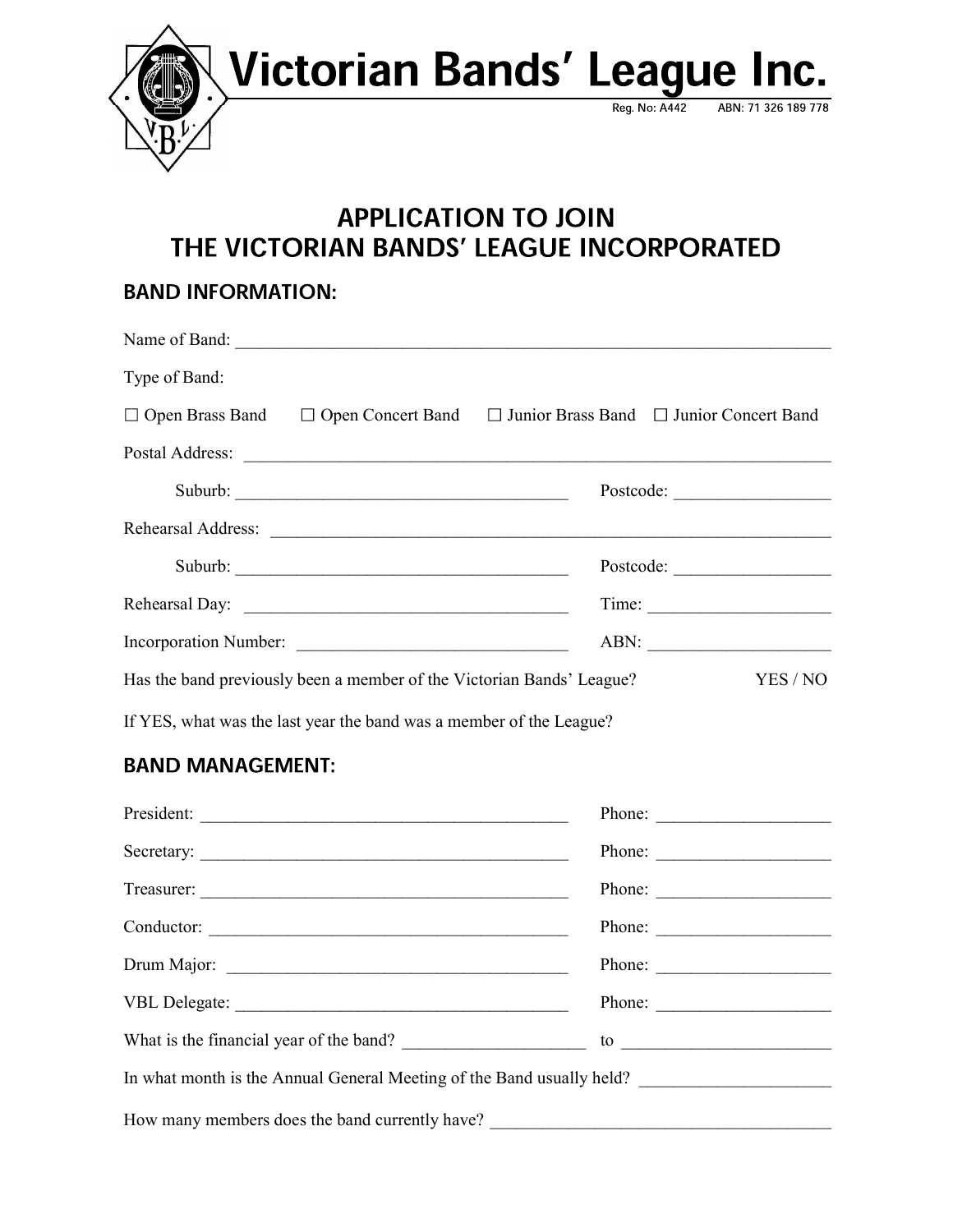

## **APPLICATION TO JOIN** THE VICTORIAN BANDS' LEAGUE INCORPORATED

## **BAND INFORMATION:**

| Type of Band:         |                                                                                                     |  |           |
|-----------------------|-----------------------------------------------------------------------------------------------------|--|-----------|
|                       | $\Box$ Open Brass Band $\Box$ Open Concert Band $\Box$ Junior Brass Band $\Box$ Junior Concert Band |  |           |
|                       |                                                                                                     |  |           |
|                       |                                                                                                     |  |           |
|                       |                                                                                                     |  |           |
|                       |                                                                                                     |  | Postcode: |
|                       | Rehearsal Day:                                                                                      |  | Time:     |
| Incorporation Number: |                                                                                                     |  | ABN:      |
|                       | Has the band previously been a member of the Victorian Bands' League?                               |  | YES / NO  |
|                       | If YES, what was the last year the band was a member of the League?                                 |  |           |

## **BAND MANAGEMENT:**

|                                                                       | Phone:                      |  |  |  |
|-----------------------------------------------------------------------|-----------------------------|--|--|--|
|                                                                       |                             |  |  |  |
|                                                                       | Phone:                      |  |  |  |
|                                                                       | Phone: $\qquad \qquad$      |  |  |  |
|                                                                       |                             |  |  |  |
|                                                                       | Phone: $\qquad \qquad$      |  |  |  |
| What is the financial year of the band?                               | to $\overline{\phantom{a}}$ |  |  |  |
| In what month is the Annual General Meeting of the Band usually held? |                             |  |  |  |
|                                                                       |                             |  |  |  |